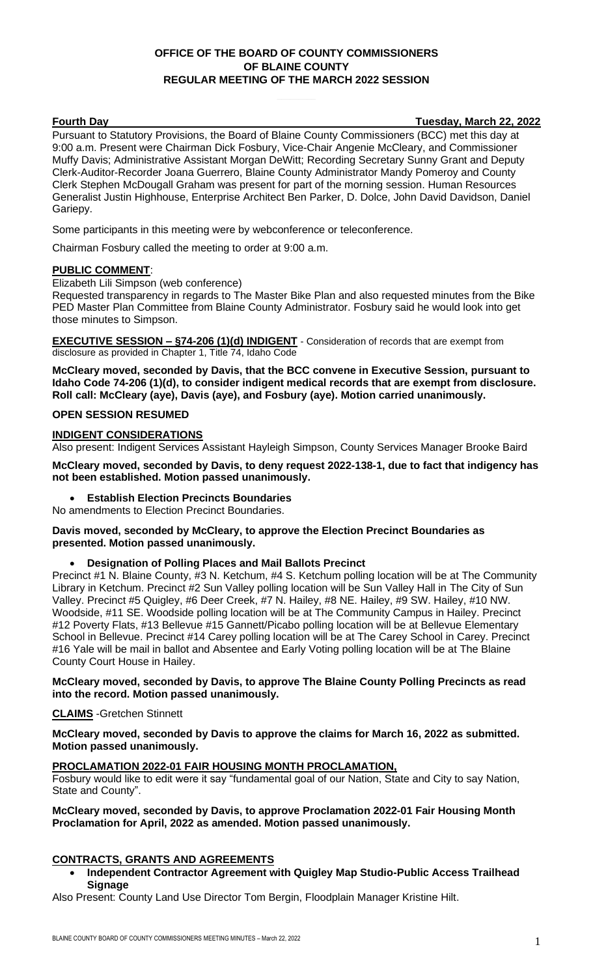# **OFFICE OF THE BOARD OF COUNTY COMMISSIONERS OF BLAINE COUNTY REGULAR MEETING OF THE MARCH 2022 SESSION**

**Fourth Day Tuesday, March 22, 2022**

Pursuant to Statutory Provisions, the Board of Blaine County Commissioners (BCC) met this day at 9:00 a.m. Present were Chairman Dick Fosbury, Vice-Chair Angenie McCleary, and Commissioner Muffy Davis; Administrative Assistant Morgan DeWitt; Recording Secretary Sunny Grant and Deputy Clerk-Auditor-Recorder Joana Guerrero, Blaine County Administrator Mandy Pomeroy and County Clerk Stephen McDougall Graham was present for part of the morning session. Human Resources Generalist Justin Highhouse, Enterprise Architect Ben Parker, D. Dolce, John David Davidson, Daniel Gariepy.

Some participants in this meeting were by webconference or teleconference.

Chairman Fosbury called the meeting to order at 9:00 a.m.

#### **PUBLIC COMMENT**:

Elizabeth Lili Simpson (web conference)

Requested transparency in regards to The Master Bike Plan and also requested minutes from the Bike PED Master Plan Committee from Blaine County Administrator. Fosbury said he would look into get those minutes to Simpson.

**EXECUTIVE SESSION – §74-206 (1)(d) INDIGENT** - Consideration of records that are exempt from disclosure as provided in Chapter 1, Title 74, Idaho Code

**McCleary moved, seconded by Davis, that the BCC convene in Executive Session, pursuant to Idaho Code 74-206 (1)(d), to consider indigent medical records that are exempt from disclosure. Roll call: McCleary (aye), Davis (aye), and Fosbury (aye). Motion carried unanimously.**

#### **OPEN SESSION RESUMED**

#### **INDIGENT CONSIDERATIONS**

Also present: Indigent Services Assistant Hayleigh Simpson, County Services Manager Brooke Baird

**McCleary moved, seconded by Davis, to deny request 2022-138-1, due to fact that indigency has not been established. Motion passed unanimously.**

• **Establish Election Precincts Boundaries** 

No amendments to Election Precinct Boundaries.

**Davis moved, seconded by McCleary, to approve the Election Precinct Boundaries as presented. Motion passed unanimously.**

#### • **Designation of Polling Places and Mail Ballots Precinct**

Precinct #1 N. Blaine County, #3 N. Ketchum, #4 S. Ketchum polling location will be at The Community Library in Ketchum. Precinct #2 Sun Valley polling location will be Sun Valley Hall in The City of Sun Valley. Precinct #5 Quigley, #6 Deer Creek, #7 N. Hailey, #8 NE. Hailey, #9 SW. Hailey, #10 NW. Woodside, #11 SE. Woodside polling location will be at The Community Campus in Hailey. Precinct #12 Poverty Flats, #13 Bellevue #15 Gannett/Picabo polling location will be at Bellevue Elementary School in Bellevue. Precinct #14 Carey polling location will be at The Carey School in Carey. Precinct #16 Yale will be mail in ballot and Absentee and Early Voting polling location will be at The Blaine County Court House in Hailey.

#### **McCleary moved, seconded by Davis, to approve The Blaine County Polling Precincts as read into the record. Motion passed unanimously.**

**CLAIMS** -Gretchen Stinnett

**McCleary moved, seconded by Davis to approve the claims for March 16, 2022 as submitted. Motion passed unanimously.**

#### **PROCLAMATION 2022-01 FAIR HOUSING MONTH PROCLAMATION,**

Fosbury would like to edit were it say "fundamental goal of our Nation, State and City to say Nation, State and County".

#### **McCleary moved, seconded by Davis, to approve Proclamation 2022-01 Fair Housing Month Proclamation for April, 2022 as amended. Motion passed unanimously.**

## **CONTRACTS, GRANTS AND AGREEMENTS**

• **Independent Contractor Agreement with Quigley Map Studio-Public Access Trailhead Signage**

Also Present: County Land Use Director Tom Bergin, Floodplain Manager Kristine Hilt.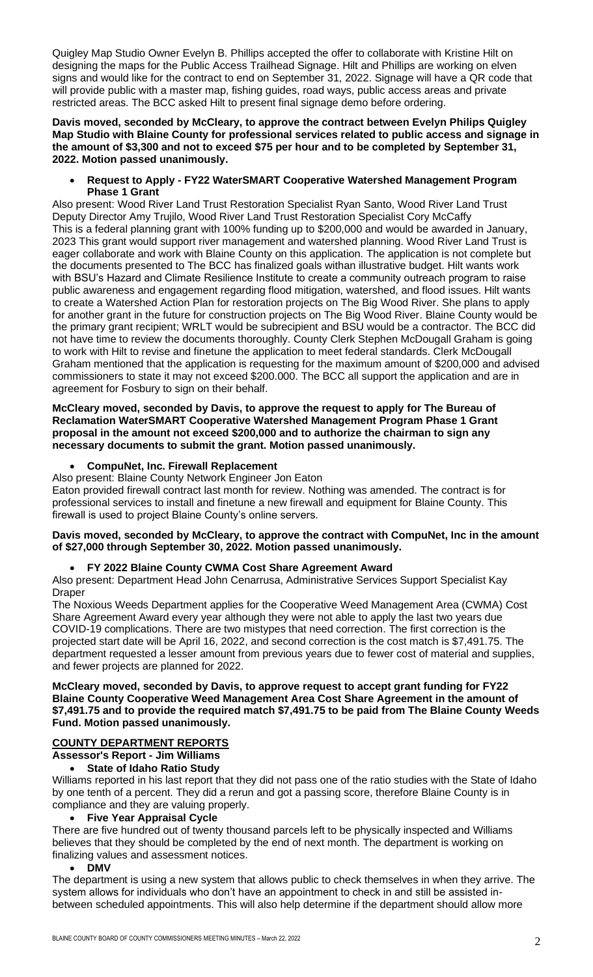Quigley Map Studio Owner Evelyn B. Phillips accepted the offer to collaborate with Kristine Hilt on designing the maps for the Public Access Trailhead Signage. Hilt and Phillips are working on elven signs and would like for the contract to end on September 31, 2022. Signage will have a QR code that will provide public with a master map, fishing guides, road ways, public access areas and private restricted areas. The BCC asked Hilt to present final signage demo before ordering.

**Davis moved, seconded by McCleary, to approve the contract between Evelyn Philips Quigley Map Studio with Blaine County for professional services related to public access and signage in the amount of \$3,300 and not to exceed \$75 per hour and to be completed by September 31, 2022. Motion passed unanimously.**

• **Request to Apply - FY22 WaterSMART Cooperative Watershed Management Program Phase 1 Grant**

Also present: Wood River Land Trust Restoration Specialist Ryan Santo, Wood River Land Trust Deputy Director Amy Trujilo, Wood River Land Trust Restoration Specialist Cory McCaffy This is a federal planning grant with 100% funding up to \$200,000 and would be awarded in January, 2023 This grant would support river management and watershed planning. Wood River Land Trust is eager collaborate and work with Blaine County on this application. The application is not complete but the documents presented to The BCC has finalized goals withan illustrative budget. Hilt wants work with BSU's Hazard and Climate Resilience Institute to create a community outreach program to raise public awareness and engagement regarding flood mitigation, watershed, and flood issues. Hilt wants to create a Watershed Action Plan for restoration projects on The Big Wood River. She plans to apply for another grant in the future for construction projects on The Big Wood River. Blaine County would be the primary grant recipient; WRLT would be subrecipient and BSU would be a contractor. The BCC did not have time to review the documents thoroughly. County Clerk Stephen McDougall Graham is going to work with Hilt to revise and finetune the application to meet federal standards. Clerk McDougall Graham mentioned that the application is requesting for the maximum amount of \$200,000 and advised commissioners to state it may not exceed \$200.000. The BCC all support the application and are in agreement for Fosbury to sign on their behalf.

#### **McCleary moved, seconded by Davis, to approve the request to apply for The Bureau of Reclamation WaterSMART Cooperative Watershed Management Program Phase 1 Grant proposal in the amount not exceed \$200,000 and to authorize the chairman to sign any necessary documents to submit the grant. Motion passed unanimously.**

## • **CompuNet, Inc. Firewall Replacement**

Also present: Blaine County Network Engineer Jon Eaton

Eaton provided firewall contract last month for review. Nothing was amended. The contract is for professional services to install and finetune a new firewall and equipment for Blaine County. This firewall is used to project Blaine County's online servers.

#### **Davis moved, seconded by McCleary, to approve the contract with CompuNet, Inc in the amount of \$27,000 through September 30, 2022. Motion passed unanimously.**

#### • **FY 2022 Blaine County CWMA Cost Share Agreement Award**

Also present: Department Head John Cenarrusa, Administrative Services Support Specialist Kay Draper

The Noxious Weeds Department applies for the Cooperative Weed Management Area (CWMA) Cost Share Agreement Award every year although they were not able to apply the last two years due COVID-19 complications. There are two mistypes that need correction. The first correction is the projected start date will be April 16, 2022, and second correction is the cost match is \$7,491.75. The department requested a lesser amount from previous years due to fewer cost of material and supplies, and fewer projects are planned for 2022.

#### **McCleary moved, seconded by Davis, to approve request to accept grant funding for FY22 Blaine County Cooperative Weed Management Area Cost Share Agreement in the amount of \$7,491.75 and to provide the required match \$7,491.75 to be paid from The Blaine County Weeds Fund. Motion passed unanimously.**

## **COUNTY DEPARTMENT REPORTS**

**Assessor's Report - Jim Williams** 

## • **State of Idaho Ratio Study**

Williams reported in his last report that they did not pass one of the ratio studies with the State of Idaho by one tenth of a percent. They did a rerun and got a passing score, therefore Blaine County is in compliance and they are valuing properly.

# • **Five Year Appraisal Cycle**

There are five hundred out of twenty thousand parcels left to be physically inspected and Williams believes that they should be completed by the end of next month. The department is working on finalizing values and assessment notices.

#### • **DMV**

The department is using a new system that allows public to check themselves in when they arrive. The system allows for individuals who don't have an appointment to check in and still be assisted inbetween scheduled appointments. This will also help determine if the department should allow more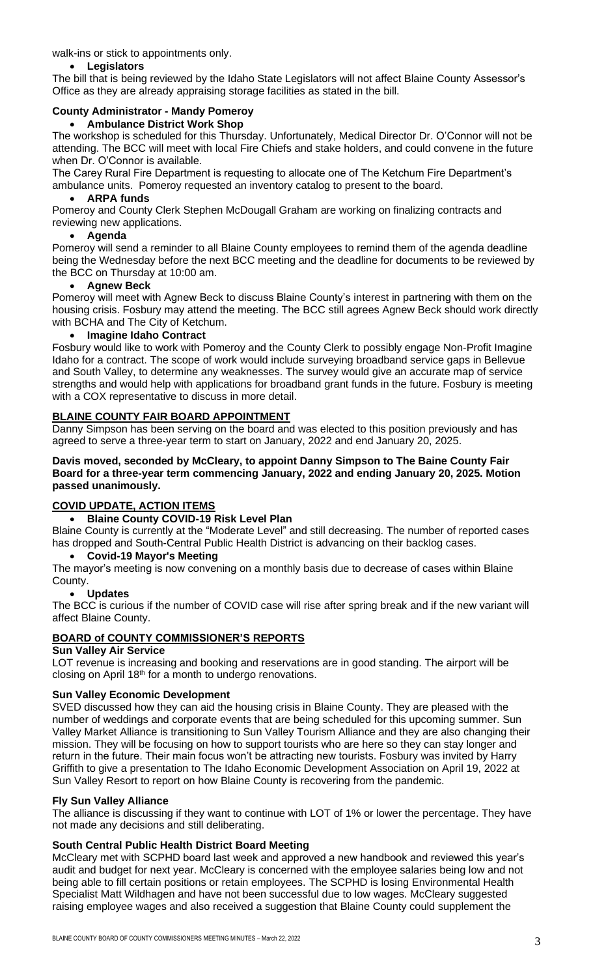walk-ins or stick to appointments only.

## • **Legislators**

The bill that is being reviewed by the Idaho State Legislators will not affect Blaine County Assessor's Office as they are already appraising storage facilities as stated in the bill.

## **County Administrator - Mandy Pomeroy**

## • **Ambulance District Work Shop**

The workshop is scheduled for this Thursday. Unfortunately, Medical Director Dr. O'Connor will not be attending. The BCC will meet with local Fire Chiefs and stake holders, and could convene in the future when Dr. O'Connor is available.

The Carey Rural Fire Department is requesting to allocate one of The Ketchum Fire Department's ambulance units. Pomeroy requested an inventory catalog to present to the board.

## • **ARPA funds**

Pomeroy and County Clerk Stephen McDougall Graham are working on finalizing contracts and reviewing new applications.

# • **Agenda**

Pomeroy will send a reminder to all Blaine County employees to remind them of the agenda deadline being the Wednesday before the next BCC meeting and the deadline for documents to be reviewed by the BCC on Thursday at 10:00 am.

## • **Agnew Beck**

Pomeroy will meet with Agnew Beck to discuss Blaine County's interest in partnering with them on the housing crisis. Fosbury may attend the meeting. The BCC still agrees Agnew Beck should work directly with BCHA and The City of Ketchum.

## • **Imagine Idaho Contract**

Fosbury would like to work with Pomeroy and the County Clerk to possibly engage Non-Profit Imagine Idaho for a contract. The scope of work would include surveying broadband service gaps in Bellevue and South Valley, to determine any weaknesses. The survey would give an accurate map of service strengths and would help with applications for broadband grant funds in the future. Fosbury is meeting with a COX representative to discuss in more detail.

# **BLAINE COUNTY FAIR BOARD APPOINTMENT**

Danny Simpson has been serving on the board and was elected to this position previously and has agreed to serve a three-year term to start on January, 2022 and end January 20, 2025.

#### **Davis moved, seconded by McCleary, to appoint Danny Simpson to The Baine County Fair Board for a three-year term commencing January, 2022 and ending January 20, 2025. Motion passed unanimously.**

# **COVID UPDATE, ACTION ITEMS**

## • **Blaine County COVID-19 Risk Level Plan**

Blaine County is currently at the "Moderate Level" and still decreasing. The number of reported cases has dropped and South-Central Public Health District is advancing on their backlog cases.

## • **Covid-19 Mayor's Meeting**

The mayor's meeting is now convening on a monthly basis due to decrease of cases within Blaine County.

## • **Updates**

The BCC is curious if the number of COVID case will rise after spring break and if the new variant will affect Blaine County.

# **BOARD of COUNTY COMMISSIONER'S REPORTS**

## **Sun Valley Air Service**

LOT revenue is increasing and booking and reservations are in good standing. The airport will be closing on April 18<sup>th</sup> for a month to undergo renovations.

## **Sun Valley Economic Development**

SVED discussed how they can aid the housing crisis in Blaine County. They are pleased with the number of weddings and corporate events that are being scheduled for this upcoming summer. Sun Valley Market Alliance is transitioning to Sun Valley Tourism Alliance and they are also changing their mission. They will be focusing on how to support tourists who are here so they can stay longer and return in the future. Their main focus won't be attracting new tourists. Fosbury was invited by Harry Griffith to give a presentation to The Idaho Economic Development Association on April 19, 2022 at Sun Valley Resort to report on how Blaine County is recovering from the pandemic.

## **Fly Sun Valley Alliance**

The alliance is discussing if they want to continue with LOT of 1% or lower the percentage. They have not made any decisions and still deliberating.

## **South Central Public Health District Board Meeting**

McCleary met with SCPHD board last week and approved a new handbook and reviewed this year's audit and budget for next year. McCleary is concerned with the employee salaries being low and not being able to fill certain positions or retain employees. The SCPHD is losing Environmental Health Specialist Matt Wildhagen and have not been successful due to low wages. McCleary suggested raising employee wages and also received a suggestion that Blaine County could supplement the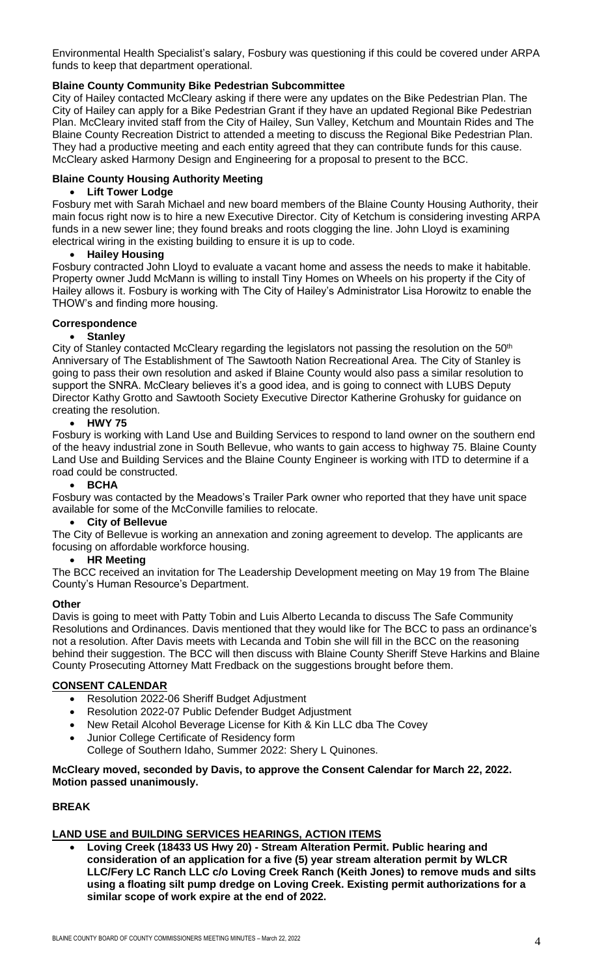Environmental Health Specialist's salary, Fosbury was questioning if this could be covered under ARPA funds to keep that department operational.

## **Blaine County Community Bike Pedestrian Subcommittee**

City of Hailey contacted McCleary asking if there were any updates on the Bike Pedestrian Plan. The City of Hailey can apply for a Bike Pedestrian Grant if they have an updated Regional Bike Pedestrian Plan. McCleary invited staff from the City of Hailey, Sun Valley, Ketchum and Mountain Rides and The Blaine County Recreation District to attended a meeting to discuss the Regional Bike Pedestrian Plan. They had a productive meeting and each entity agreed that they can contribute funds for this cause. McCleary asked Harmony Design and Engineering for a proposal to present to the BCC.

## **Blaine County Housing Authority Meeting**

#### • **Lift Tower Lodge**

Fosbury met with Sarah Michael and new board members of the Blaine County Housing Authority, their main focus right now is to hire a new Executive Director. City of Ketchum is considering investing ARPA funds in a new sewer line; they found breaks and roots clogging the line. John Lloyd is examining electrical wiring in the existing building to ensure it is up to code.

#### • **Hailey Housing**

Fosbury contracted John Lloyd to evaluate a vacant home and assess the needs to make it habitable. Property owner Judd McMann is willing to install Tiny Homes on Wheels on his property if the City of Hailey allows it. Fosbury is working with The City of Hailey's Administrator Lisa Horowitz to enable the THOW's and finding more housing.

#### **Correspondence**

#### • **Stanley**

City of Stanley contacted McCleary regarding the legislators not passing the resolution on the 50<sup>th</sup> Anniversary of The Establishment of The Sawtooth Nation Recreational Area. The City of Stanley is going to pass their own resolution and asked if Blaine County would also pass a similar resolution to support the SNRA. McCleary believes it's a good idea, and is going to connect with LUBS Deputy Director Kathy Grotto and Sawtooth Society Executive Director Katherine Grohusky for guidance on creating the resolution.

## • **HWY 75**

Fosbury is working with Land Use and Building Services to respond to land owner on the southern end of the heavy industrial zone in South Bellevue, who wants to gain access to highway 75. Blaine County Land Use and Building Services and the Blaine County Engineer is working with ITD to determine if a road could be constructed.

#### • **BCHA**

Fosbury was contacted by the Meadows's Trailer Park owner who reported that they have unit space available for some of the McConville families to relocate.

# • **City of Bellevue**

The City of Bellevue is working an annexation and zoning agreement to develop. The applicants are focusing on affordable workforce housing.

#### • **HR Meeting**

The BCC received an invitation for The Leadership Development meeting on May 19 from The Blaine County's Human Resource's Department.

#### **Other**

Davis is going to meet with Patty Tobin and Luis Alberto Lecanda to discuss The Safe Community Resolutions and Ordinances. Davis mentioned that they would like for The BCC to pass an ordinance's not a resolution. After Davis meets with Lecanda and Tobin she will fill in the BCC on the reasoning behind their suggestion. The BCC will then discuss with Blaine County Sheriff Steve Harkins and Blaine County Prosecuting Attorney Matt Fredback on the suggestions brought before them.

## **CONSENT CALENDAR**

- Resolution 2022-06 Sheriff Budget Adjustment
- Resolution 2022-07 Public Defender Budget Adjustment
- New Retail Alcohol Beverage License for Kith & Kin LLC dba The Covey
- Junior College Certificate of Residency form
	- College of Southern Idaho, Summer 2022: Shery L Quinones.

## **McCleary moved, seconded by Davis, to approve the Consent Calendar for March 22, 2022. Motion passed unanimously.**

## **BREAK**

## **LAND USE and BUILDING SERVICES HEARINGS, ACTION ITEMS**

• **Loving Creek (18433 US Hwy 20) - Stream Alteration Permit. Public hearing and consideration of an application for a five (5) year stream alteration permit by WLCR LLC/Fery LC Ranch LLC c/o Loving Creek Ranch (Keith Jones) to remove muds and silts using a floating silt pump dredge on Loving Creek. Existing permit authorizations for a similar scope of work expire at the end of 2022.**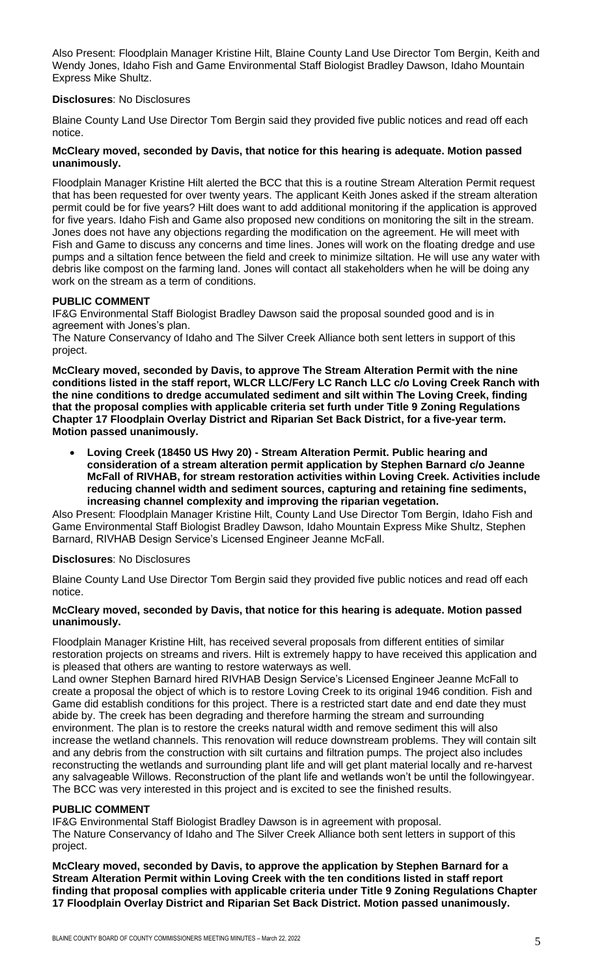Also Present: Floodplain Manager Kristine Hilt, Blaine County Land Use Director Tom Bergin, Keith and Wendy Jones, Idaho Fish and Game Environmental Staff Biologist Bradley Dawson, Idaho Mountain Express Mike Shultz.

#### **Disclosures**: No Disclosures

Blaine County Land Use Director Tom Bergin said they provided five public notices and read off each notice.

## **McCleary moved, seconded by Davis, that notice for this hearing is adequate. Motion passed unanimously.**

Floodplain Manager Kristine Hilt alerted the BCC that this is a routine Stream Alteration Permit request that has been requested for over twenty years. The applicant Keith Jones asked if the stream alteration permit could be for five years? Hilt does want to add additional monitoring if the application is approved for five years. Idaho Fish and Game also proposed new conditions on monitoring the silt in the stream. Jones does not have any objections regarding the modification on the agreement. He will meet with Fish and Game to discuss any concerns and time lines. Jones will work on the floating dredge and use pumps and a siltation fence between the field and creek to minimize siltation. He will use any water with debris like compost on the farming land. Jones will contact all stakeholders when he will be doing any work on the stream as a term of conditions.

#### **PUBLIC COMMENT**

IF&G Environmental Staff Biologist Bradley Dawson said the proposal sounded good and is in agreement with Jones's plan.

The Nature Conservancy of Idaho and The Silver Creek Alliance both sent letters in support of this project.

**McCleary moved, seconded by Davis, to approve The Stream Alteration Permit with the nine conditions listed in the staff report, WLCR LLC/Fery LC Ranch LLC c/o Loving Creek Ranch with the nine conditions to dredge accumulated sediment and silt within The Loving Creek, finding that the proposal complies with applicable criteria set furth under Title 9 Zoning Regulations Chapter 17 Floodplain Overlay District and Riparian Set Back District, for a five-year term. Motion passed unanimously.**

• **Loving Creek (18450 US Hwy 20) - Stream Alteration Permit. Public hearing and consideration of a stream alteration permit application by Stephen Barnard c/o Jeanne McFall of RIVHAB, for stream restoration activities within Loving Creek. Activities include reducing channel width and sediment sources, capturing and retaining fine sediments, increasing channel complexity and improving the riparian vegetation.** 

Also Present: Floodplain Manager Kristine Hilt, County Land Use Director Tom Bergin, Idaho Fish and Game Environmental Staff Biologist Bradley Dawson, Idaho Mountain Express Mike Shultz, Stephen Barnard, RIVHAB Design Service's Licensed Engineer Jeanne McFall.

## **Disclosures**: No Disclosures

Blaine County Land Use Director Tom Bergin said they provided five public notices and read off each notice.

#### **McCleary moved, seconded by Davis, that notice for this hearing is adequate. Motion passed unanimously.**

Floodplain Manager Kristine Hilt, has received several proposals from different entities of similar restoration projects on streams and rivers. Hilt is extremely happy to have received this application and is pleased that others are wanting to restore waterways as well.

Land owner Stephen Barnard hired RIVHAB Design Service's Licensed Engineer Jeanne McFall to create a proposal the object of which is to restore Loving Creek to its original 1946 condition. Fish and Game did establish conditions for this project. There is a restricted start date and end date they must abide by. The creek has been degrading and therefore harming the stream and surrounding environment. The plan is to restore the creeks natural width and remove sediment this will also increase the wetland channels. This renovation will reduce downstream problems. They will contain silt and any debris from the construction with silt curtains and filtration pumps. The project also includes reconstructing the wetlands and surrounding plant life and will get plant material locally and re-harvest any salvageable Willows. Reconstruction of the plant life and wetlands won't be until the followingyear. The BCC was very interested in this project and is excited to see the finished results.

## **PUBLIC COMMENT**

IF&G Environmental Staff Biologist Bradley Dawson is in agreement with proposal. The Nature Conservancy of Idaho and The Silver Creek Alliance both sent letters in support of this project.

**McCleary moved, seconded by Davis, to approve the application by Stephen Barnard for a Stream Alteration Permit within Loving Creek with the ten conditions listed in staff report finding that proposal complies with applicable criteria under Title 9 Zoning Regulations Chapter 17 Floodplain Overlay District and Riparian Set Back District. Motion passed unanimously.**